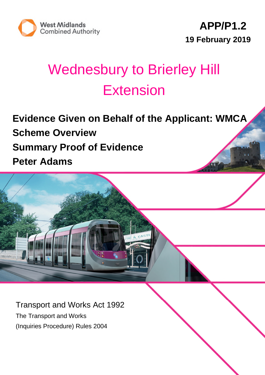



# Wednesbury to Brierley Hill **Extension**

# **Evidence Given on Behalf of the Applicant: WMCA Scheme Overview Summary Proof of Evidence Peter Adams**

Transport and Works Act 1992 The Transport and Works (Inquiries Procedure) Rules 2004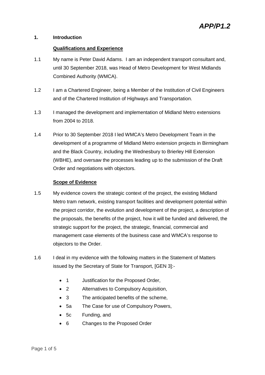#### **1. Introduction**

#### **Qualifications and Experience**

- 1.1 My name is Peter David Adams. I am an independent transport consultant and, until 30 September 2018, was Head of Metro Development for West Midlands Combined Authority (WMCA).
- 1.2 I am a Chartered Engineer, being a Member of the Institution of Civil Engineers and of the Chartered Institution of Highways and Transportation.
- 1.3 I managed the development and implementation of Midland Metro extensions from 2004 to 2018.
- 1.4 Prior to 30 September 2018 I led WMCA's Metro Development Team in the development of a programme of Midland Metro extension projects in Birmingham and the Black Country, including the Wednesbury to Brierley Hill Extension (WBHE), and oversaw the processes leading up to the submission of the Draft Order and negotiations with objectors.

# **Scope of Evidence**

- 1.5 My evidence covers the strategic context of the project, the existing Midland Metro tram network, existing transport facilities and development potential within the project corridor, the evolution and development of the project, a description of the proposals, the benefits of the project, how it will be funded and delivered, the strategic support for the project, the strategic, financial, commercial and management case elements of the business case and WMCA's response to objectors to the Order.
- 1.6 I deal in my evidence with the following matters in the Statement of Matters issued by the Secretary of State for Transport, [GEN 3]:-
	- 1 Justification for the Proposed Order,
	- 2 Alternatives to Compulsory Acquisition,
	- 3 The anticipated benefits of the scheme,
	- 5a The Case for use of Compulsory Powers,
	- 5c Funding, and
	- 6 Changes to the Proposed Order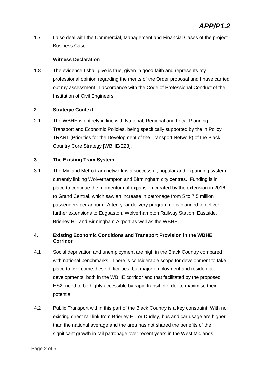1.7 I also deal with the Commercial, Management and Financial Cases of the project Business Case.

# **Witness Declaration**

1.8 The evidence I shall give is true, given in good faith and represents my professional opinion regarding the merits of the Order proposal and I have carried out my assessment in accordance with the Code of Professional Conduct of the Institution of Civil Engineers.

#### **2. Strategic Context**

2.1 The WBHE is entirely in line with National, Regional and Local Planning, Transport and Economic Policies, being specifically supported by the in Policy TRAN1 (Priorities for the Development of the Transport Network) of the Black Country Core Strategy [WBHE/E23].

#### **3. The Existing Tram System**

3.1 The Midland Metro tram network is a successful, popular and expanding system currently linking Wolverhampton and Birmingham city centres. Funding is in place to continue the momentum of expansion created by the extension in 2016 to Grand Central, which saw an increase in patronage from 5 to 7.5 million passengers per annum. A ten-year delivery programme is planned to deliver further extensions to Edgbaston, Wolverhampton Railway Station, Eastside, Brierley Hill and Birmingham Airport as well as the WBHE.

# **4. Existing Economic Conditions and Transport Provision in the WBHE Corridor**

- 4.1 Social deprivation and unemployment are high in the Black Country compared with national benchmarks. There is considerable scope for development to take place to overcome these difficulties, but major employment and residential developments, both in the WBHE corridor and that facilitated by the proposed HS2, need to be highly accessible by rapid transit in order to maximise their potential.
- 4.2 Public Transport within this part of the Black Country is a key constraint. With no existing direct rail link from Brierley Hill or Dudley, bus and car usage are higher than the national average and the area has not shared the benefits of the significant growth in rail patronage over recent years in the West Midlands.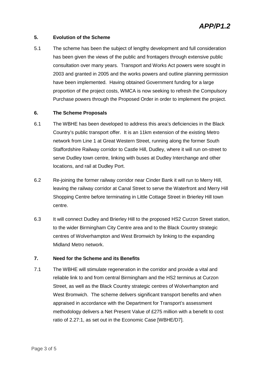#### **5. Evolution of the Scheme**

5.1 The scheme has been the subject of lengthy development and full consideration has been given the views of the public and frontagers through extensive public consultation over many years. Transport and Works Act powers were sought in 2003 and granted in 2005 and the works powers and outline planning permission have been implemented. Having obtained Government funding for a large proportion of the project costs, WMCA is now seeking to refresh the Compulsory Purchase powers through the Proposed Order in order to implement the project.

## **6. The Scheme Proposals**

- 6.1 The WBHE has been developed to address this area's deficiencies in the Black Country's public transport offer. It is an 11km extension of the existing Metro network from Line 1 at Great Western Street, running along the former South Staffordshire Railway corridor to Castle Hill, Dudley, where it will run on-street to serve Dudley town centre, linking with buses at Dudley Interchange and other locations, and rail at Dudley Port.
- 6.2 Re-joining the former railway corridor near Cinder Bank it will run to Merry Hill, leaving the railway corridor at Canal Street to serve the Waterfront and Merry Hill Shopping Centre before terminating in Little Cottage Street in Brierley Hill town centre.
- 6.3 It will connect Dudley and Brierley Hill to the proposed HS2 Curzon Street station, to the wider Birmingham City Centre area and to the Black Country strategic centres of Wolverhampton and West Bromwich by linking to the expanding Midland Metro network.

# **7. Need for the Scheme and its Benefits**

7.1 The WBHE will stimulate regeneration in the corridor and provide a vital and reliable link to and from central Birmingham and the HS2 terminus at Curzon Street, as well as the Black Country strategic centres of Wolverhampton and West Bromwich. The scheme delivers significant transport benefits and when appraised in accordance with the Department for Transport's assessment methodology delivers a Net Present Value of £275 million with a benefit to cost ratio of 2.27:1, as set out in the Economic Case [WBHE/D7].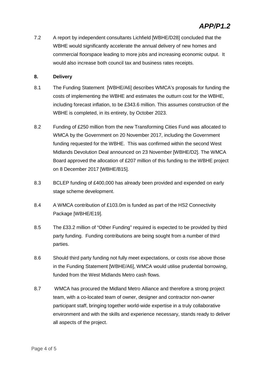7.2 A report by independent consultants Lichfield [WBHE/D28] concluded that the WBHE would significantly accelerate the annual delivery of new homes and commercial floorspace leading to more jobs and increasing economic output. It would also increase both council tax and business rates receipts.

#### **8. Delivery**

- 8.1 The Funding Statement [WBHE/A6] describes WMCA's proposals for funding the costs of implementing the WBHE and estimates the outturn cost for the WBHE, including forecast inflation, to be £343.6 million. This assumes construction of the WBHE is completed, in its entirety, by October 2023.
- 8.2 Funding of £250 million from the new Transforming Cities Fund was allocated to WMCA by the Government on 20 November 2017, including the Government funding requested for the WBHE. This was confirmed within the second West Midlands Devolution Deal announced on 23 November [WBHE/D2]. The WMCA Board approved the allocation of £207 million of this funding to the WBHE project on 8 December 2017 [WBHE/B15].
- 8.3 BCLEP funding of £400,000 has already been provided and expended on early stage scheme development.
- 8.4 A WMCA contribution of £103.0m is funded as part of the HS2 Connectivity Package [WBHE/E19].
- 8.5 The £33.2 million of "Other Funding" required is expected to be provided by third party funding. Funding contributions are being sought from a number of third parties.
- 8.6 Should third party funding not fully meet expectations, or costs rise above those in the Funding Statement [WBHE/A6], WMCA would utilise prudential borrowing, funded from the West Midlands Metro cash flows.
- 8.7 WMCA has procured the Midland Metro Alliance and therefore a strong project team, with a co-located team of owner, designer and contractor non-owner participant staff, bringing together world-wide expertise in a truly collaborative environment and with the skills and experience necessary, stands ready to deliver all aspects of the project.